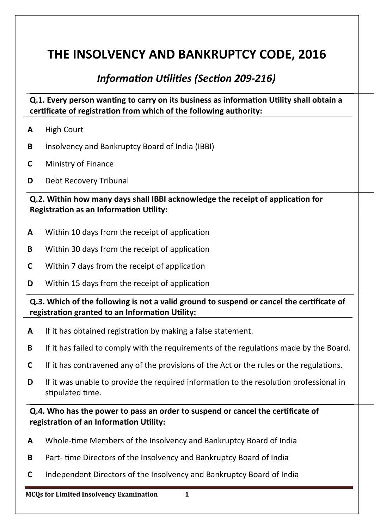# **THE INSOLVENCY AND BANKRUPTCY CODE, 2016**

# *Information Utilities (Section 209-216)*

**Q.1. Every person wanting to carry on its business as information Utility shall obtain a** certificate of registration from which of the following authority:

- **A** High Court
- **B** Insolvency and Bankruptcy Board of India (IBBI)
- **C** Ministry of Finance
- **D** Debt Recovery Tribunal

**Q.2. Within how many days shall IBBI acknowledge the receipt of application for Registration as an Information Utility:** 

- **A** Within 10 days from the receipt of applicaton
- **B** Within 30 days from the receipt of application
- **C** Within 7 days from the receipt of application
- **D** Within 15 days from the receipt of application

**Q.3. Which of the following is not a valid ground to suspend or cancel the certificate of** registration granted to an Information Utility:

- **A** If it has obtained registraton by making a false statement.
- **B** If it has failed to comply with the requirements of the regulations made by the Board.
- **C** If it has contravened any of the provisions of the Act or the rules or the regulations.
- **D** If it was unable to provide the required information to the resolution professional in stipulated time.

**Q.4. Who has the power to pass an order to suspend or canceil the certficate of**  registration of an Information Utility:

- **A** Whole-tme Members of the Insolvency and Bankruptcy Board of India
- **B** Part- tme Directors of the Insolvency and Bankruptcy Board of India
- **C** Independent Directors of the Insolvency and Bankruptcy Board of India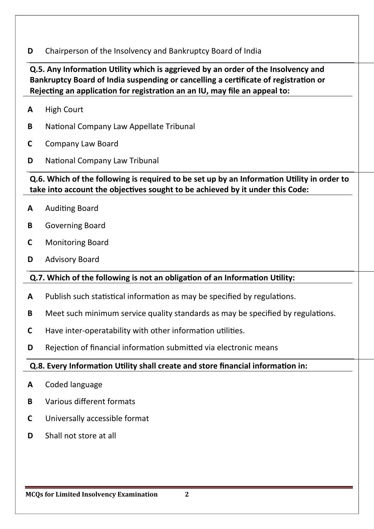**D** Chairperson of the Insolvency and Bankruptcy Board of India

**Q.5. Any Information Utility which is aggrieved by an order of the Insolvency and** Bankruptcy Board of India suspending or cancelling a certificate of registration or **Rejecting an application for registration an an IU, may file an appeal to:** 

- **A** High Court
- **B** National Company Law Appellate Tribunal
- **C** Company Law Board
- **D** National Company Law Tribunal

# **Q.6. Which of the following is required to be set up by an Information Utility in order to** take into account the objectives sought to be achieved by it under this Code:

- A Auditing Board
- **B** Governing Board
- **C** Monitoring Board
- **D** Advisory Board

# **Q.7. Which of the following is not an obligation of an Information Utility:**

- A Publish such statistical information as may be specified by regulations.
- **B** Meet such minimum service quality standards as may be specified by regulations.
- **C** Have inter-operatability with other information utilities.
- **D** Rejection of financial information submitted via electronic means

#### **Q.8. Every Information Utility shall create and store financial information in:**

- **A** Coded language
- **B** Various diferent formats
- **C** Universally accessible format
- **D** Shall not store at all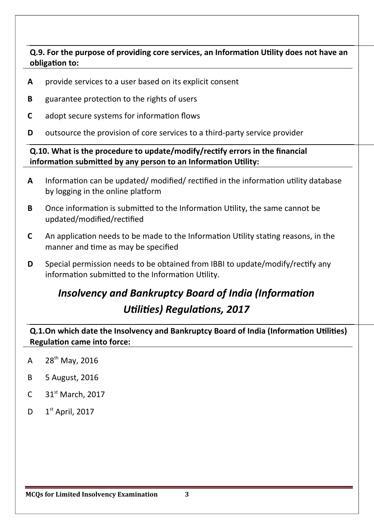**Q.9. For the purpose of providing core services, an Information Utility does not have an obligation to:** 

- **A** provide services to a user based on its explicit consent
- **B** guarantee protection to the rights of users
- **C** adopt secure systems for information flows
- **D** outsource the provision of core services to a third-party service provider

**Q.10. What is the procedure to update/modify/rectfy errors in the financiail**  information submitted by any person to an Information Utility:

- A Information can be updated/ modified/ rectified in the information utility database by logging in the online platform
- **B** Once information is submitted to the Information Utility, the same cannot be updated/modified/rectified
- **C** An application needs to be made to the Information Utility stating reasons, in the manner and time as may be specified
- **D** Special permission needs to be obtained from IBBI to update/modify/rectify any information submitted to the Information Utility.

# *Insolvency and Bankruptcy Board of India (Information Utilities) Regulations, 2017*

**Q.1.On which date the Insolvency and Bankruptcy Board of India (Information Utilities) Regulation came into force:** 

- A  $28^{th}$  May, 2016
- **B** 5 August, 2016
- C  $31<sup>st</sup> March, 2017$
- D  $1<sup>st</sup>$  April, 2017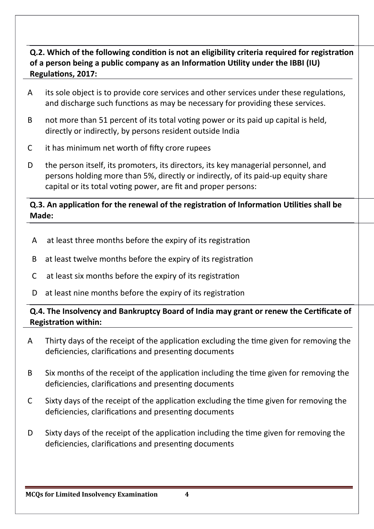# **Q.2. Which of the following condition is not an eligibility criteria required for registration** of a person being a public company as an Information Utility under the IBBI (IU) **Regulations, 2017:**

- A its sole object is to provide core services and other services under these regulations, and discharge such functions as may be necessary for providing these services.
- B not more than 51 percent of its total voting power or its paid up capital is held. directly or indirectly, by persons resident outside India
- C it has minimum net worth of fifty crore rupees
- D the person itself, its promoters, its directors, its key managerial personnel, and persons holding more than 5%, directly or indirectly, of its paid-up equity share capital or its total voting power, are fit and proper persons:

# **Q.3. An application for the renewal of the registration of Information Utilities shall be Made:**

- A at least three months before the expiry of its registraton
- B at least twelve months before the expiry of its registraton
- C at least six months before the expiry of its registraton
- D at least nine months before the expiry of its registration

# **Q.4. The Insolvency and Bankruptcy Board of India may grant or renew the Certificate of Registration within:**

- A Thirty days of the receipt of the applicaton excluding the tme given for removing the deficiencies, clarifications and presenting documents
- B Six months of the receipt of the application including the time given for removing the deficiencies, clarifications and presenting documents
- C Sixty days of the receipt of the applicaton excluding the tme given for removing the deficiencies, clarifications and presenting documents
- D Sixty days of the receipt of the application including the time given for removing the deficiencies, clarifications and presenting documents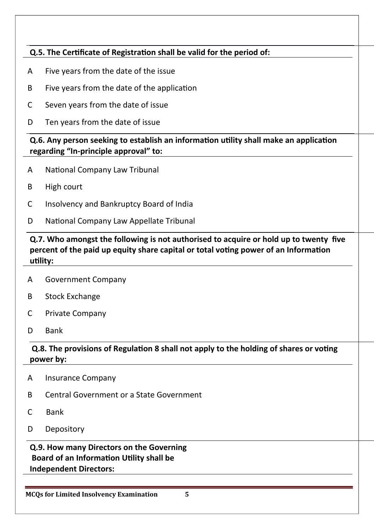# **Q.5. The Certificate of Registration shall be valid for the period of:**

- A Five years from the date of the issue
- B Five years from the date of the application
- C Seven years from the date of issue
- D Ten years from the date of issue

**Q.6. Any person seeking to establish an information utility shall make an application** regarding "In-principle approval" to:

- A National Company Law Tribunal
- B High court
- C Insolvency and Bankruptcy Board of India
- D National Company Law Appellate Tribunal

**Q.7. Who amongst the following is not authorised to acquire or hold up to twenty five** percent of the paid up equity share capital or total voting power of an Information utility:

- A Government Company
- B Stock Exchange
- C Private Company
- D Bank

# **Q.8. The provisions of Regulation 8 shall not apply to the holding of shares or voting power** by:

- A Insurance Company
- B Central Government or a State Government
- C Bank
- D Depository

#### **Q.9. How many Directors on the Governing Board of an Information Utility shall be Independent Directors:**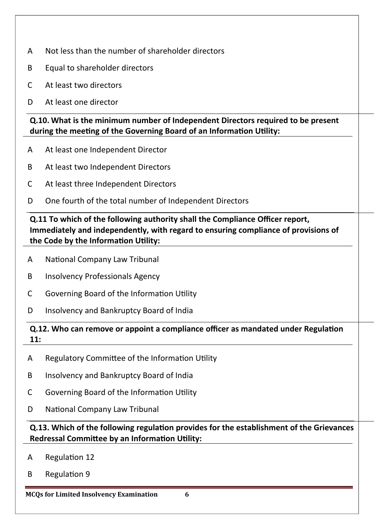- A Not less than the number of shareholder directors
- B Equal to shareholder directors
- C At least two directors
- D At least one director

**Q.10. What is the minimum number of Independent Directors required to be present** during the meeting of the Governing Board of an Information Utility:

- A At least one Independent Director
- B At least two Independent Directors
- C At least three Independent Directors
- D One fourth of the total number of Independent Directors

**Q.11 To which of the following authority shall the Compliance Officer report,** Immediately and independently, with regard to ensuring compliance of provisions of the Code by the Information Utility:

- A National Company Law Tribunal
- B Insolvency Professionals Agency
- C Governing Board of the Information Utility
- D Insolvency and Bankruptcy Board of India

#### **Q.12. Who can remove or appoint a compliance officer as mandated under Regulation 11:**

- A Regulatory Committee of the Information Utility
- B Insolvency and Bankruptcy Board of India
- C Governing Board of the Information Utility
- D National Company Law Tribunal

**Q.13. Which of the following regulation provides for the establishment of the Grievances Redressal Committee by an Information Utility:** 

- A Regulation 12
- B Regulation 9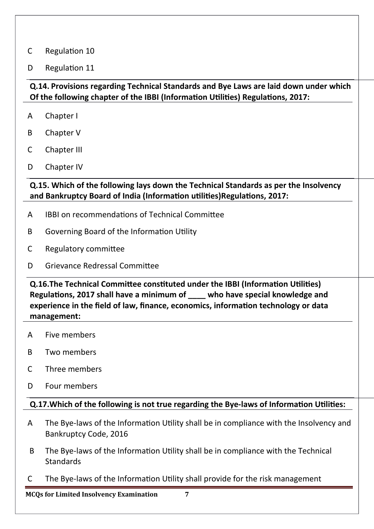#### C Regulation 10

D Regulation 11

# **Q.14. Provisions regarding Technical Standards and Bye Laws are laid down under which Of the following chapter of the IBBI (Information Utilities) Regulations, 2017:**

- A Chapter I
- B Chapter V
- C Chapter III
- D Chapter IV

**Q.15. Which of the following lays down the Technical Standards as per the Insolvency** and Bankruptcy Board of India (Information utilities) Regulations, 2017:

- A IBBI on recommendatons of Technical Commitee
- B Governing Board of the Information Utility
- C Regulatory commitee

# D Grievance Redressal Commitee

**Q.16.The Technical Committee constituted under the IBBI (Information Utilities)** Regulations, 2017 shall have a minimum of **who have special knowledge and** experience in the field of law, finance, economics, information technology or data management:

- A Five members
- B Two members
- C Three members
- D Four members

#### **Q.17. Which of the following is not true regarding the Bye-laws of Information Utilities:**

- A The Bye-laws of the Information Utility shall be in compliance with the Insolvency and Bankruptcy Code, 2016
- B The Bye-laws of the Information Utility shall be in compliance with the Technical **Standards**
- C The Bye-laws of the Informaton Utlity shall provide for the risk management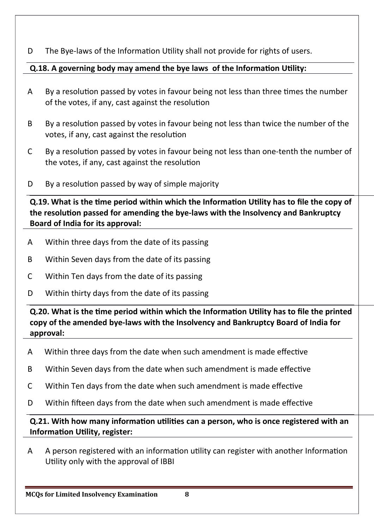D The Bye-laws of the Information Utility shall not provide for rights of users.

# **Q.18. A governing body may amend the bye laws of the Information Utility:**

- A By a resoluton passed by votes in favour being not less than three tmes the number of the votes, if any, cast against the resolution
- B By a resoluton passed by votes in favour being not less than twice the number of the votes, if any, cast against the resolution
- C By a resoluton passed by votes in favour being not less than one-tenth the number of the votes, if any, cast against the resolution
- $D$  By a resolution passed by way of simple majority

**Q.19.** What is the time period within which the Information Utility has to file the copy of the resolution passed for amending the bye-laws with the Insolvency and Bankruptcy **Board of India for its approval:** 

- A Within three days from the date of its passing
- B Within Seven days from the date of its passing
- C Within Ten days from the date of its passing
- D Within thirty days from the date of its passing

**Q.20. What is the time period within which the Information Utility has to file the printed** copy of the amended bye-laws with the Insolvency and Bankruptcy Board of India for approval:

- A Within three days from the date when such amendment is made efectve
- B Within Seven days from the date when such amendment is made effective
- C Within Ten days from the date when such amendment is made efectve
- D Within fifteen days from the date when such amendment is made effective

**Q.21. With how many information utilities can a person, who is once registered with an Information Utility, register:** 

A A person registered with an informaton utlity can register with another Informaton Utility only with the approval of IBBI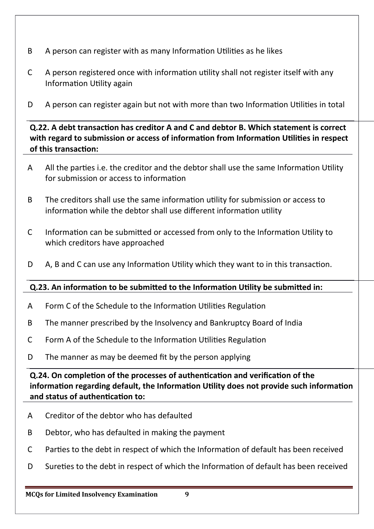- B A person can register with as many Information Utilities as he likes
- C A person registered once with informaton utlity shall not register itself with any Information Utility again
- D A person can register again but not with more than two Information Utilities in total

**Q.22. A debt transaction has creditor A and C and debtor B. Which statement is correct** with regard to submission or access of information from Information Utilities in respect of this transaction:

- A All the parties i.e. the creditor and the debtor shall use the same Information Utility for submission or access to informaton
- B The creditors shall use the same informaton utlity for submission or access to information while the debtor shall use different information utility
- C Information can be submitted or accessed from only to the Information Utility to which creditors have approached
- D A, B and C can use any Information Utility which they want to in this transaction.

# **Q.23. An information to be submitted to the Information Utility be submitted in:**

- A Form C of the Schedule to the Information Utilities Regulation
- B The manner prescribed by the Insolvency and Bankruptcy Board of India
- C Form A of the Schedule to the Information Utilities Regulation
- D The manner as may be deemed fit by the person applying

**Q.24. On completion of the processes of authentication and verification of the** information regarding default, the Information Utility does not provide such information and status of authentication to:

- A Creditor of the debtor who has defaulted
- B Debtor, who has defaulted in making the payment
- C Parties to the debt in respect of which the Information of default has been received
- D Sureties to the debt in respect of which the Information of default has been received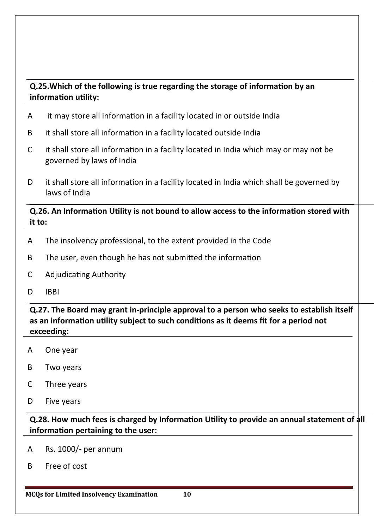# **Q.25. Which of the following is true regarding the storage of information by an** information utility:

- A it may store all informaton in a facility located in or outside India
- B it shall store all informaton in a facility located outside India
- C it shall store all information in a facility located in India which may or may not be governed by laws of India
- D it shall store all information in a facility located in India which shall be governed by laws of India

#### **Q.26. An Information Utility is not bound to allow access to the information stored with** it to:

- A The insolvency professional, to the extent provided in the Code
- B The user, even though he has not submitted the information
- C Adjudicating Authority
- D IBBI

**Q.27. The Board may grant in-principle approval to a person who seeks to establish itself as an informaton utility subject to such conditons as it deems fit for a period not exceeding:** 

- A One year
- B Two years
- C Three years
- D Five years

**Q.28. How much fees is charged by Information Utility to provide an annual statement of all** information pertaining to the user:

- A Rs. 1000/- per annum
- B Free of cost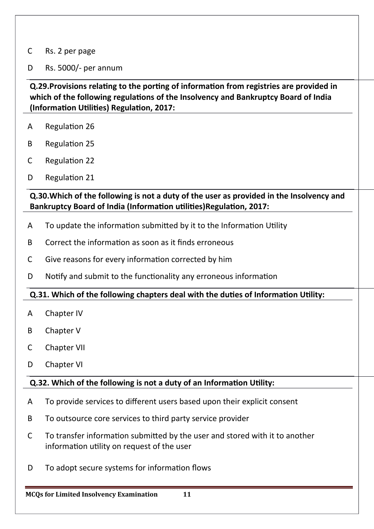#### C Rs. 2 per page

#### D Rs. 5000/- per annum

# **Q.29. Provisions relating to the porting of information from registries are provided in** which of the following regulations of the Insolvency and Bankruptcy Board of India **(Information Utilities) Regulation, 2017:**

- A Regulation 26
- **B** Regulation 25
- C Regulation 22
- D Regulation 21

**Q.30. Which of the following is not a duty of the user as provided in the Insolvency and Bankruptcy Board of India (Information utilities) Regulation, 2017:** 

- A To update the information submitted by it to the Information Utility
- B Correct the informaton as soon as it fnds erroneous
- C Give reasons for every information corrected by him
- D Notify and submit to the functionality any erroneous information

#### **Q.31. Which of the following chapters deal with the duties of Information Utility:**

- A Chapter IV
- B Chapter V
- C Chapter VII
- D Chapter VI

#### **Q.32. Which of the following is not a duty of an Information Utility:**

- A To provide services to diferent users based upon their explicit consent
- B To outsource core services to third party service provider
- C To transfer information submitted by the user and stored with it to another information utility on request of the user
- D To adopt secure systems for information flows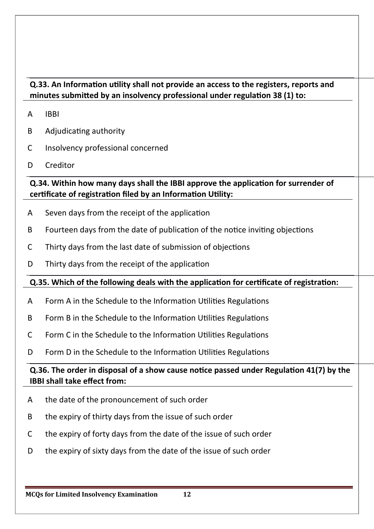# **Q.33. An Information utility shall not provide an access to the registers, reports and** minutes submitted by an insolvency professional under regulation 38 (1) to:

- A IBBI
- B Adjudicating authority
- C Insolvency professional concerned
- D Creditor

# **Q.34. Within how many days shall the IBBI approve the application for surrender of** certificate of registration filed by an Information Utility:

- A Seven days from the receipt of the application
- B Fourteen days from the date of publication of the notice inviting objections
- C Thirty days from the last date of submission of objectons
- D Thirty days from the receipt of the application

# **Q.35. Which of the following deals with the application for certificate of registration:**

- A Form A in the Schedule to the Information Utilities Regulations
- B Form B in the Schedule to the Information Utilities Regulations
- C Form C in the Schedule to the Information Utilities Regulations
- D Form D in the Schedule to the Information Utilities Regulations

# **Q.36. The order in disposal of a show cause notice passed under Regulation 41(7) by the IBBI shall take effect from:**

- A the date of the pronouncement of such order
- B the expiry of thirty days from the issue of such order
- C the expiry of forty days from the date of the issue of such order
- D the expiry of sixty days from the date of the issue of such order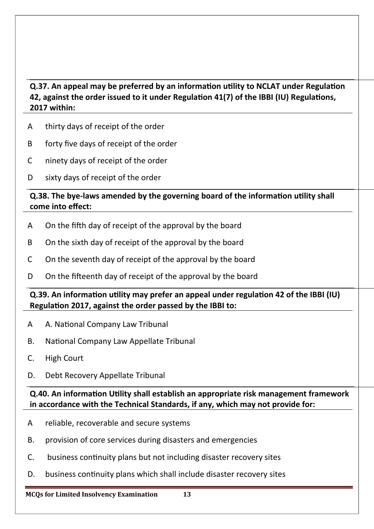# **Q.37. An appeal may be preferred by an information utility to NCLAT under Regulation** 42, against the order issued to it under Regulation 41(7) of the IBBI (IU) Regulations, **2017 within:**

- A thirty days of receipt of the order
- B forty five days of receipt of the order
- C ninety days of receipt of the order
- D sixty days of receipt of the order

#### **Q.38. The bye-laws amended by the governing board of the information utility shall** come into effect:

- A On the fifth day of receipt of the approval by the board
- B On the sixth day of receipt of the approval by the board
- C On the seventh day of receipt of the approval by the board
- D On the fifteenth day of receipt of the approval by the board

# **Q.39. An information utility may prefer an appeal under regulation 42 of the IBBI (IU)** Regulation 2017, against the order passed by the IBBI to:

- A A. National Company Law Tribunal
- B. National Company Law Appellate Tribunal
- C. High Court
- D. Debt Recovery Appellate Tribunal

#### **Q.40. An information Utility shall establish an appropriate risk management framework** in accordance with the Technical Standards, if any, which may not provide for:

- A reliable, recoverable and secure systems
- B. provision of core services during disasters and emergencies
- C. business contnuity plans but not including disaster recovery sites
- D. business continuity plans which shall include disaster recovery sites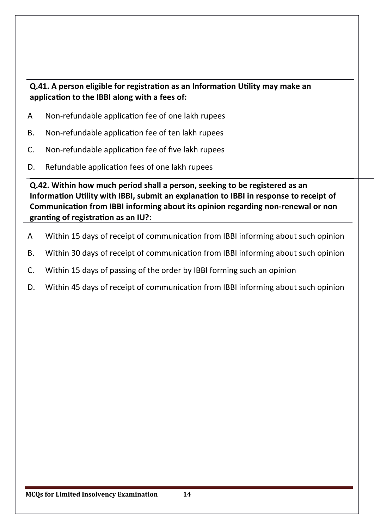# **Q.41. A person eligible for registration as an Information Utility may make an** application to the IBBI along with a fees of:

- A Non-refundable applicaton fee of one lakh rupees
- B. Non-refundable application fee of ten lakh rupees
- C. Non-refundable applicaton fee of fve lakh rupees
- D. Refundable application fees of one lakh rupees

**Q.42. Within how much period shall a person, seeking to be registered as an** Information Utility with IBBI, submit an explanation to IBBI in response to receipt of **Communication from IBBI informing about its opinion regarding non-renewal or non granting of registration as an IU?:** 

- A Within 15 days of receipt of communicaton from IBBI informing about such opinion
- B. Within 30 days of receipt of communication from IBBI informing about such opinion
- C. Within 15 days of passing of the order by IBBI forming such an opinion
- D. Within 45 days of receipt of communication from IBBI informing about such opinion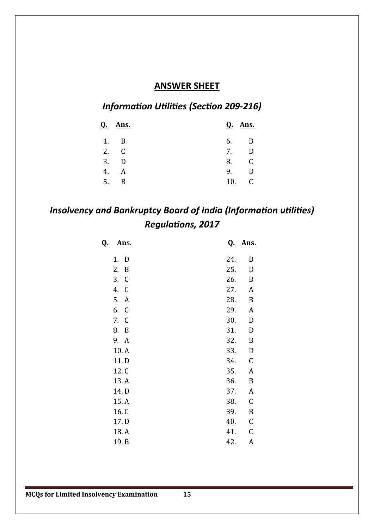#### **ANSWER SHEET**

# *Information Utilities (Section 209-216)*

|    | <b>Q.</b> Ans. |     | <b>Q.</b> Ans. |
|----|----------------|-----|----------------|
| 1. | $\overline{B}$ | 6.  | B              |
|    | 2. C           | 7.  |                |
|    | 3. D           | 8.  |                |
| 4. | A              | 9.  | Ð              |
| 5. | B              | 10. |                |

# *Insolvency and Bankruptcy Board of India (Information utilities)* **Regulations, 2017**

| <u>Ans.</u><br><u>Q.</u> |     | <b>Q.</b> Ans. |
|--------------------------|-----|----------------|
| 1. D                     | 24. | B              |
| 2. B                     | 25. | D              |
| 3. C                     | 26. | B              |
| 4. C                     | 27. | A              |
| 5. A                     | 28. | $\, {\bf B}$   |
| 6. C                     | 29. | A              |
| 7. C                     | 30. | $\mathbf D$    |
| 8. B                     | 31. | D              |
| 9. A                     | 32. | $\, {\bf B}$   |
| 10.A                     | 33. | $\mathbf D$    |
| 11.D                     | 34. | C              |
| 12. C                    | 35. | A              |
| 13.A                     | 36. | $\, {\bf B}$   |
| 14. D                    | 37. | A              |
| 15.A                     | 38. | C              |
| 16.C                     | 39. | B              |
| 17. D                    | 40. | C              |
| 18.A                     | 41. | C              |
| 19. B                    | 42. | A              |